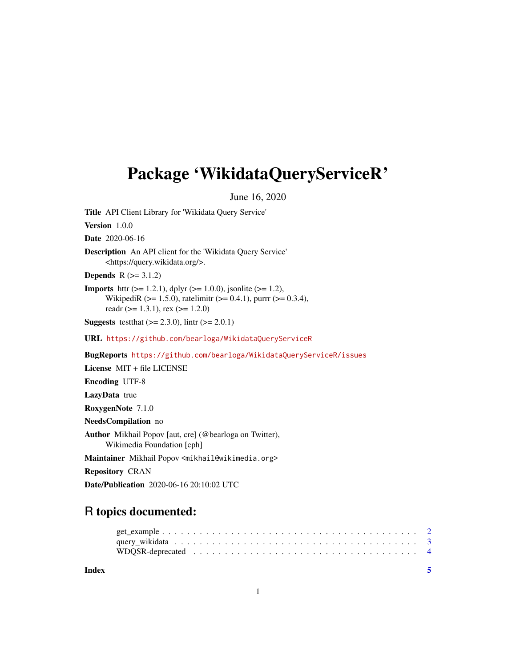## <span id="page-0-0"></span>Package 'WikidataQueryServiceR'

June 16, 2020

Title API Client Library for 'Wikidata Query Service' Version 1.0.0 Date 2020-06-16 Description An API client for the 'Wikidata Query Service' <https://query.wikidata.org/>. **Depends**  $R (= 3.1.2)$ **Imports** http:  $(>= 1.2.1)$ , dplyr  $(>= 1.0.0)$ , jsonlite  $(>= 1.2)$ , WikipediR ( $>= 1.5.0$ ), ratelimitr ( $>= 0.4.1$ ), purrr ( $>= 0.3.4$ ), readr ( $>= 1.3.1$ ), rex ( $>= 1.2.0$ ) **Suggests** test that  $(>= 2.3.0)$ , lintr  $(>= 2.0.1)$ URL <https://github.com/bearloga/WikidataQueryServiceR> BugReports <https://github.com/bearloga/WikidataQueryServiceR/issues> License MIT + file LICENSE Encoding UTF-8 LazyData true RoxygenNote 7.1.0 NeedsCompilation no Author Mikhail Popov [aut, cre] (@bearloga on Twitter), Wikimedia Foundation [cph]

Maintainer Mikhail Popov <mikhail@wikimedia.org>

Repository CRAN

Date/Publication 2020-06-16 20:10:02 UTC

### R topics documented:

| Index |  |
|-------|--|
|       |  |
|       |  |
|       |  |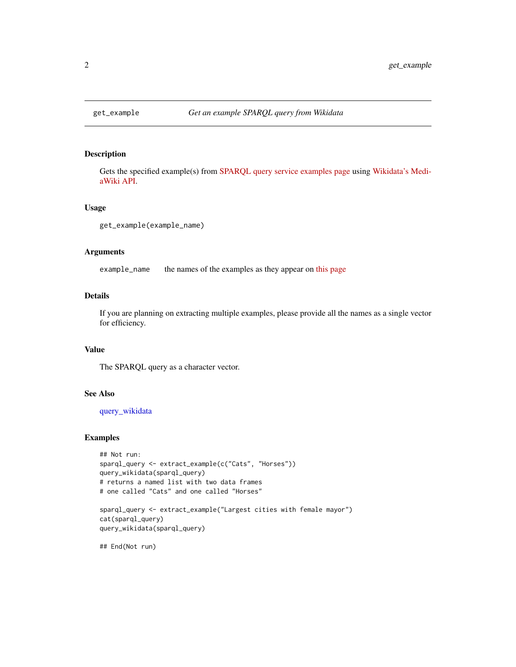<span id="page-1-1"></span><span id="page-1-0"></span>

#### Description

Gets the specified example(s) from [SPARQL query service examples page](https://www.wikidata.org/wiki/Wikidata:SPARQL_query_service/queries/examples) using [Wikidata's Medi](https://www.wikidata.org/w/api.php)[aWiki API.](https://www.wikidata.org/w/api.php)

#### Usage

get\_example(example\_name)

#### Arguments

example\_name the names of the examples as they appear on [this page](https://www.wikidata.org/wiki/Wikidata:SPARQL_query_service/queries/examples)

#### Details

If you are planning on extracting multiple examples, please provide all the names as a single vector for efficiency.

#### Value

The SPARQL query as a character vector.

#### See Also

[query\\_wikidata](#page-2-1)

#### Examples

```
## Not run:
sparql_query <- extract_example(c("Cats", "Horses"))
query_wikidata(sparql_query)
# returns a named list with two data frames
# one called "Cats" and one called "Horses"
```

```
sparql_query <- extract_example("Largest cities with female mayor")
cat(sparql_query)
query_wikidata(sparql_query)
```
## End(Not run)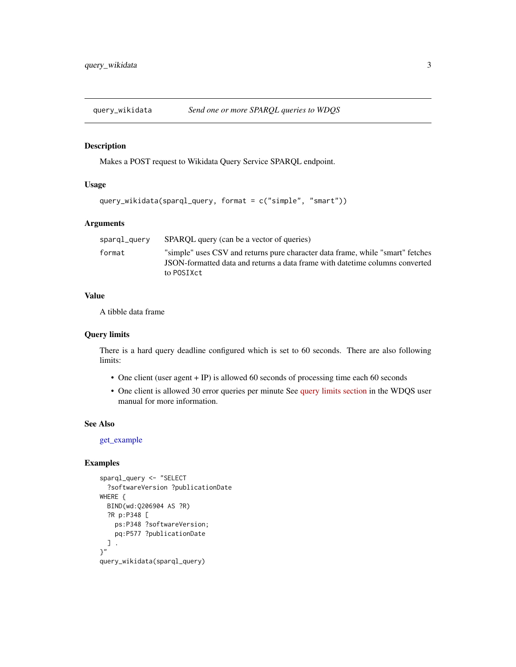<span id="page-2-1"></span><span id="page-2-0"></span>

#### Description

Makes a POST request to Wikidata Query Service SPARQL endpoint.

#### Usage

```
query_wikidata(sparql_query, format = c("simple", "smart"))
```
#### Arguments

| sparql_query | SPAROL query (can be a vector of queries)                                                                                                                                     |
|--------------|-------------------------------------------------------------------------------------------------------------------------------------------------------------------------------|
| format       | "simple" uses CSV and returns pure character data frame, while "smart" fetches<br>JSON-formatted data and returns a data frame with date time columns converted<br>to POSIXct |

#### Value

A tibble data frame

#### Query limits

There is a hard query deadline configured which is set to 60 seconds. There are also following limits:

- One client (user agent + IP) is allowed 60 seconds of processing time each 60 seconds
- One client is allowed 30 error queries per minute See [query limits section](https://www.mediawiki.org/wiki/Wikidata_Query_Service/User_Manual#Query_limits) in the WDQS user manual for more information.

#### See Also

[get\\_example](#page-1-1)

#### Examples

```
sparql_query <- "SELECT
 ?softwareVersion ?publicationDate
WHERE {
 BIND(wd:Q206904 AS ?R)
 ?R p:P348 [
   ps:P348 ?softwareVersion;
   pq:P577 ?publicationDate
 ] .
}"
query_wikidata(sparql_query)
```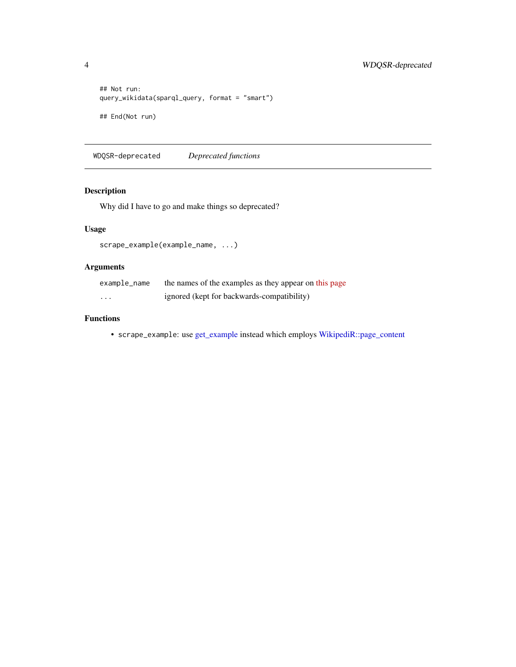```
## Not run:
query_wikidata(sparql_query, format = "smart")
## End(Not run)
```
WDQSR-deprecated *Deprecated functions*

#### Description

Why did I have to go and make things so deprecated?

#### Usage

```
scrape_example(example_name, ...)
```
#### Arguments

| example_name | the names of the examples as they appear on this page |
|--------------|-------------------------------------------------------|
| .            | ignored (kept for backwards-compatibility)            |

#### Functions

• scrape\_example: use [get\\_example](#page-1-1) instead which employs [WikipediR::page\\_content](#page-0-0)